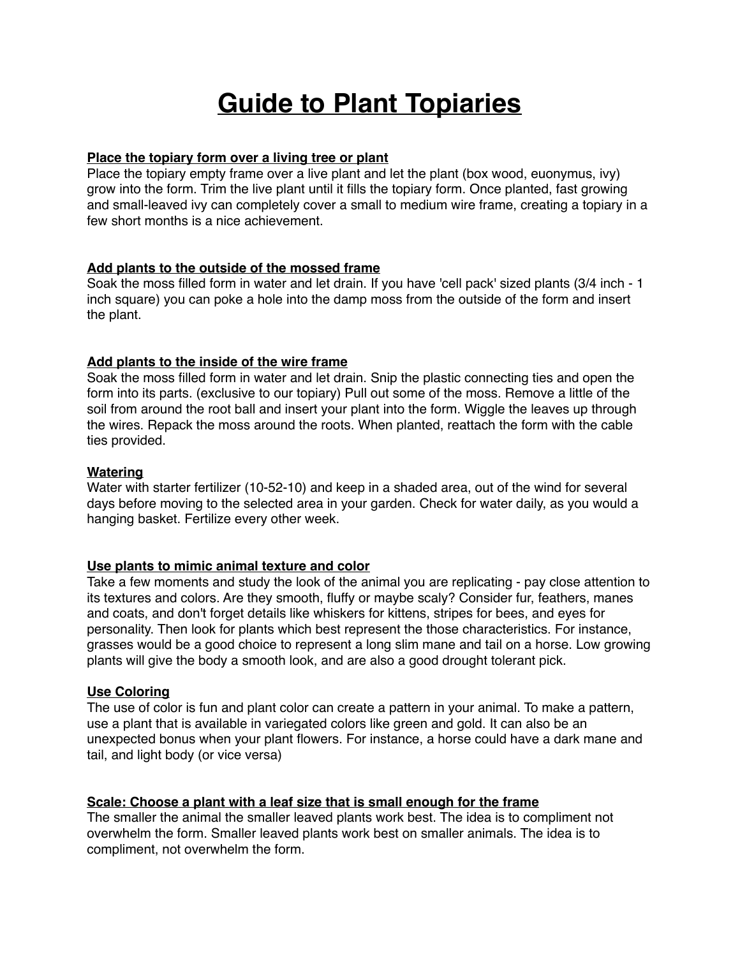# **Guide to Plant Topiaries**

## **Place the topiary form over a living tree or plant**

Place the topiary empty frame over a live plant and let the plant (box wood, euonymus, ivy) grow into the form. Trim the live plant until it fills the topiary form. Once planted, fast growing and small-leaved ivy can completely cover a small to medium wire frame, creating a topiary in a few short months is a nice achievement.

## **Add plants to the outside of the mossed frame**

Soak the moss filled form in water and let drain. If you have 'cell pack' sized plants (3/4 inch - 1 inch square) you can poke a hole into the damp moss from the outside of the form and insert the plant.

# **Add plants to the inside of the wire frame**

Soak the moss filled form in water and let drain. Snip the plastic connecting ties and open the form into its parts. (exclusive to our topiary) Pull out some of the moss. Remove a little of the soil from around the root ball and insert your plant into the form. Wiggle the leaves up through the wires. Repack the moss around the roots. When planted, reattach the form with the cable ties provided.

## **Watering**

Water with starter fertilizer (10-52-10) and keep in a shaded area, out of the wind for several days before moving to the selected area in your garden. Check for water daily, as you would a hanging basket. Fertilize every other week.

# **Use plants to mimic animal texture and color**

Take a few moments and study the look of the animal you are replicating - pay close attention to its textures and colors. Are they smooth, fluffy or maybe scaly? Consider fur, feathers, manes and coats, and don't forget details like whiskers for kittens, stripes for bees, and eyes for personality. Then look for plants which best represent the those characteristics. For instance, grasses would be a good choice to represent a long slim mane and tail on a horse. Low growing plants will give the body a smooth look, and are also a good drought tolerant pick.

#### **Use Coloring**

The use of color is fun and plant color can create a pattern in your animal. To make a pattern, use a plant that is available in variegated colors like green and gold. It can also be an unexpected bonus when your plant flowers. For instance, a horse could have a dark mane and tail, and light body (or vice versa)

#### **Scale: Choose a plant with a leaf size that is small enough for the frame**

The smaller the animal the smaller leaved plants work best. The idea is to compliment not overwhelm the form. Smaller leaved plants work best on smaller animals. The idea is to compliment, not overwhelm the form.